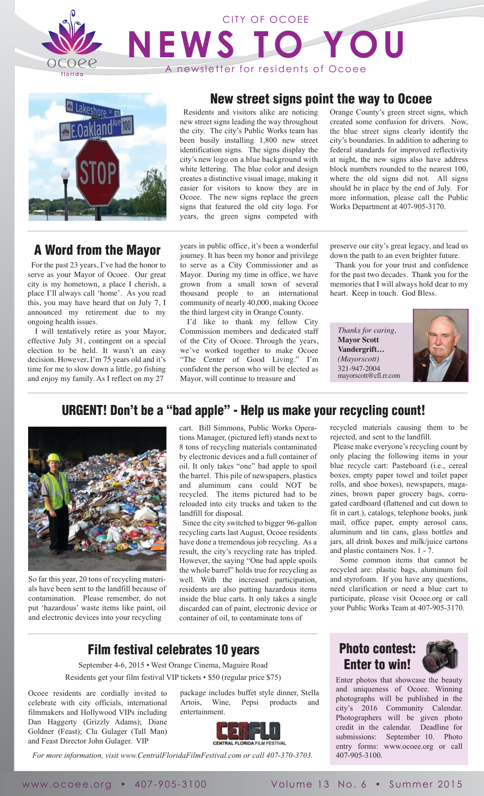

# **NEWS TO YOU** CITY OF OCOEE A newsletter for residents of Ocoee



# A Word from the Mayor

 For the past 23 years, I've had the honor to serve as your Mayor of Ocoee. Our great city is my hometown, a place I cherish, a place I'll always call 'home'. As you read this, you may have heard that on July 7, I announced my retirement due to my ongoing health issues.

 I will tentatively retire as your Mayor, effective July 31, contingent on a special election to be held. It wasn't an easy decision. However, I'm 75 years old and it's time for me to slow down a little, go fishing and enjoy my family. As I reflect on my 27

# New street signs point the way to Ocoee

 Residents and visitors alike are noticing new street signs leading the way throughout the city. The city's Public Works team has been busily installing 1,800 new street identification signs. The signs display the city's new logo on a blue background with white lettering. The blue color and design creates a distinctive visual image, making it easier for visitors to know they are in Ocoee. The new signs replace the green signs that featured the old city logo. For years, the green signs competed with

years in public office, it's been a wonderful journey. It has been my honor and privilege to serve as a City Commissioner and as Mayor. During my time in office, we have grown from a small town of several thousand people to an international community of nearly 40,000, making Ocoee the third largest city in Orange County.

 I'd like to thank my fellow City Commission members and dedicated staff of the City of Ocoee. Through the years, we've worked together to make Ocoee "The Center of Good Living." I'm confident the person who will be elected as Mayor, will continue to treasure and

preserve our city's great legacy, and lead us down the path to an even brighter future.

Orange County's green street signs, which created some confusion for drivers. Now, the blue street signs clearly identify the city's boundaries. In addition to adhering to federal standards for improved reflectivity at night, the new signs also have address block numbers rounded to the nearest 100, where the old signs did not. All signs should be in place by the end of July. For more information, please call the Public Works Department at 407-905-3170.

 Thank you for your trust and confidence for the past two decades. Thank you for the memories that I will always hold dear to my heart. Keep in touch. God Bless.

*Thanks for caring,* **Mayor Scott Vandergrift…** *(Mayorscott)*  321-947-2004 mayorscott@cfl.rr.com



# URGENT! Don't be a "bad apple" - Help us make your recycling count!



So far this year, 20 tons of recycling materials have been sent to the landfill because of contamination. Please remember, do not put 'hazardous' waste items like paint, oil and electronic devices into your recycling

cart. Bill Simmons, Public Works Operations Manager, (pictured left) stands next to 8 tons of recycling materials contaminated by electronic devices and a full container of oil. It only takes "one" bad apple to spoil the barrel. This pile of newspapers, plastics and aluminum cans could NOT be recycled. The items pictured had to be reloaded into city trucks and taken to the landfill for disposal.

 Since the city switched to bigger 96-gallon recycling carts last August, Ocoee residents have done a tremendous job recycling. As a result, the city's recycling rate has tripled. However, the saying "One bad apple spoils the whole barrel" holds true for recycling as well. With the increased participation, residents are also putting hazardous items inside the blue carts. It only takes a single discarded can of paint, electronic device or container of oil, to contaminate tons of

recycled materials causing them to be rejected, and sent to the landfill.

 Please make everyone's recycling count by only placing the following items in your blue recycle cart: Pasteboard (i.e., cereal boxes, empty paper towel and toilet paper rolls, and shoe boxes), newspapers, magazines, brown paper grocery bags, corrugated cardboard (flattened and cut down to fit in cart.), catalogs, telephone books, junk mail, office paper, empty aerosol cans, aluminum and tin cans, glass bottles and jars, all drink boxes and milk/juice cartons and plastic containers Nos. 1 - 7.

 Some common items that cannot be recycled are: plastic bags, aluminum foil and styrofoam. If you have any questions, need clarification or need a blue cart to participate, please visit Ocoee.org or call your Public Works Team at 407-905-3170.

Enter photos that showcase the beauty and uniqueness of Ocoee. Winning photographs will be published in the city's 2016 Community Calendar. Photographers will be given photo credit in the calendar. Deadline for submissions: September 10. Photo entry forms: www.ocoee.org or call

Photo contest: Enter to win!

## Film festival celebrates 10 years

September 4-6, 2015 • West Orange Cinema, Maguire Road Residents get your film festival VIP tickets • \$50 (regular price \$75)

entertainment.

Ocoee residents are cordially invited to celebrate with city officials, international filmmakers and Hollywood VIPs including Dan Haggerty (Grizzly Adams); Diane Goldner (Feast); Clu Gulager (Tall Man) and Feast Director John Gulager. VIP



package includes buffet style dinner, Stella Artois, Wine, Pepsi products and

*For more information, visit www.CentralFloridaFilmFestival.com or call 407-370-3703.*

www.ocoee.org • 407-905-3100 Volume 13 No. 6 • Summer 2015

407-905-3100.